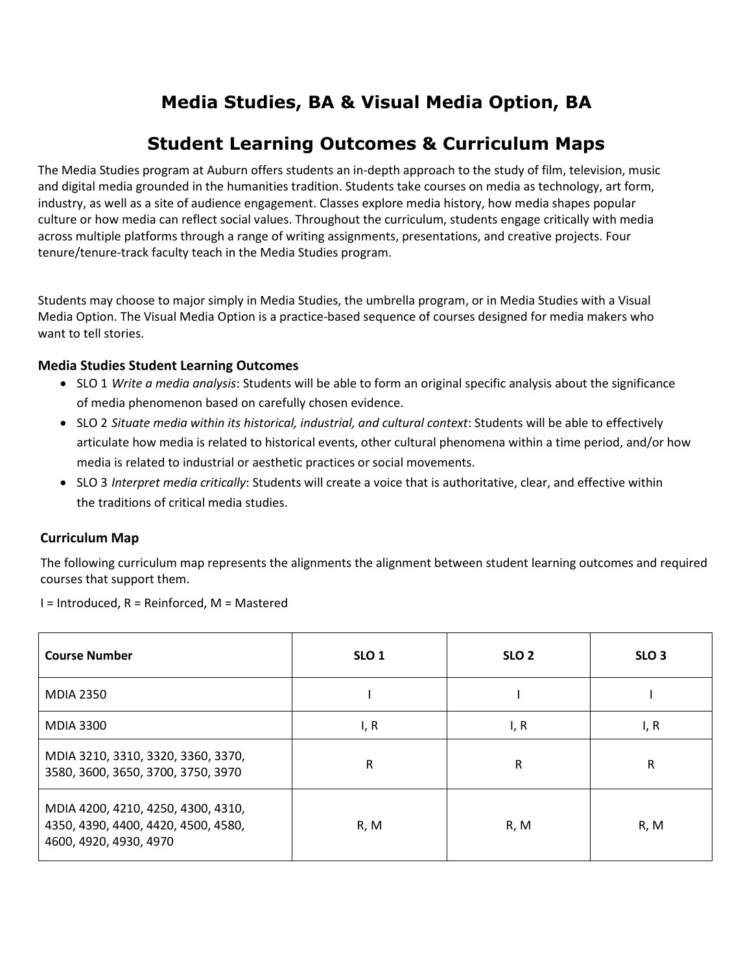# **Media Studies, BA & Visual Media Option, BA**

# **Student Learning Outcomes & Curriculum Maps**

The Media Studies program at Auburn offers students an in-depth approach to the study of film, television, music and digital media grounded in the humanities tradition. Students take courses on media as technology, art form, industry, as well as a site of audience engagement. Classes explore media history, how media shapes popular culture or how media can reflect social values. Throughout the curriculum, students engage critically with media across multiple platforms through a range of writing assignments, presentations, and creative projects. Four tenure/tenure-track faculty teach in the Media Studies program.

Students may choose to major simply in Media Studies, the umbrella program, or in Media Studies with a Visual Media Option. The Visual Media Option is a practice-based sequence of courses designed for media makers who want to tell stories.

### **Media Studies Student Learning Outcomes**

- SLO 1 *Write a media analysis*: Students will be able to form an original specific analysis about the significance of media phenomenon based on carefully chosen evidence.
- SLO 2 *Situate media within its historical, industrial, and cultural context*: Students will be able to effectively articulate how media is related to historical events, other cultural phenomena within a time period, and/or how media is related to industrial or aesthetic practices or social movements.
- SLO 3 *Interpret media critically*: Students will create a voice that is authoritative, clear, and effective within the traditions of critical media studies.

## **Curriculum Map**

The following curriculum map represents the alignments the alignment between student learning outcomes and required courses that support them.

I = Introduced, R = Reinforced, M = Mastered

| <b>Course Number</b>                                                                                | SLO <sub>1</sub> | SLO <sub>2</sub> | SLO <sub>3</sub> |
|-----------------------------------------------------------------------------------------------------|------------------|------------------|------------------|
| <b>MDIA 2350</b>                                                                                    |                  |                  |                  |
| <b>MDIA 3300</b>                                                                                    | I, R             | I, R             | I, R             |
| MDIA 3210, 3310, 3320, 3360, 3370,<br>3580, 3600, 3650, 3700, 3750, 3970                            | R                | R                | R                |
| MDIA 4200, 4210, 4250, 4300, 4310,<br>4350, 4390, 4400, 4420, 4500, 4580,<br>4600, 4920, 4930, 4970 | R, M             | R, M             | R, M             |